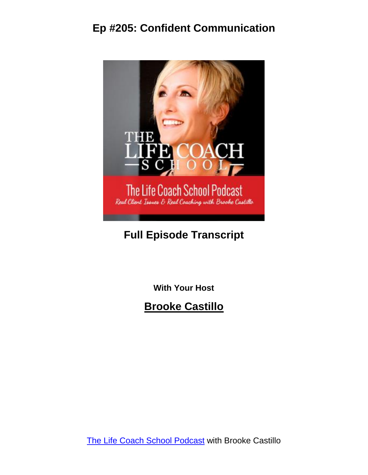

#### **Full Episode Transcript**

**With Your Host**

**Brooke Castillo**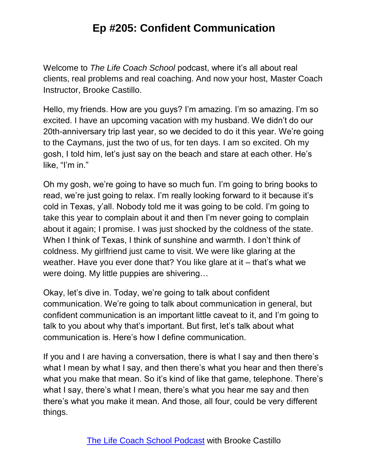Welcome to *The Life Coach School* podcast, where it's all about real clients, real problems and real coaching. And now your host, Master Coach Instructor, Brooke Castillo.

Hello, my friends. How are you guys? I'm amazing. I'm so amazing. I'm so excited. I have an upcoming vacation with my husband. We didn't do our 20th-anniversary trip last year, so we decided to do it this year. We're going to the Caymans, just the two of us, for ten days. I am so excited. Oh my gosh, I told him, let's just say on the beach and stare at each other. He's like, "I'm in."

Oh my gosh, we're going to have so much fun. I'm going to bring books to read, we're just going to relax. I'm really looking forward to it because it's cold in Texas, y'all. Nobody told me it was going to be cold. I'm going to take this year to complain about it and then I'm never going to complain about it again; I promise. I was just shocked by the coldness of the state. When I think of Texas, I think of sunshine and warmth. I don't think of coldness. My girlfriend just came to visit. We were like glaring at the weather. Have you ever done that? You like glare at it – that's what we were doing. My little puppies are shivering…

Okay, let's dive in. Today, we're going to talk about confident communication. We're going to talk about communication in general, but confident communication is an important little caveat to it, and I'm going to talk to you about why that's important. But first, let's talk about what communication is. Here's how I define communication.

If you and I are having a conversation, there is what I say and then there's what I mean by what I say, and then there's what you hear and then there's what you make that mean. So it's kind of like that game, telephone. There's what I say, there's what I mean, there's what you hear me say and then there's what you make it mean. And those, all four, could be very different things.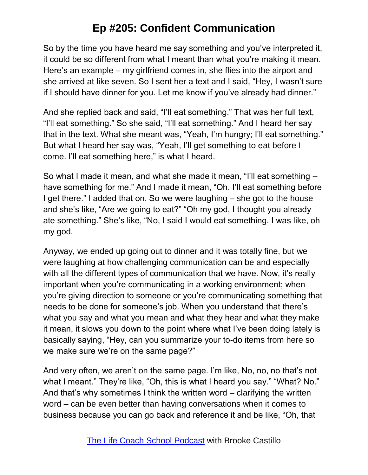So by the time you have heard me say something and you've interpreted it, it could be so different from what I meant than what you're making it mean. Here's an example – my girlfriend comes in, she flies into the airport and she arrived at like seven. So I sent her a text and I said, "Hey, I wasn't sure if I should have dinner for you. Let me know if you've already had dinner."

And she replied back and said, "I'll eat something." That was her full text, "I'll eat something." So she said, "I'll eat something." And I heard her say that in the text. What she meant was, "Yeah, I'm hungry; I'll eat something." But what I heard her say was, "Yeah, I'll get something to eat before I come. I'll eat something here," is what I heard.

So what I made it mean, and what she made it mean, "I'll eat something – have something for me." And I made it mean, "Oh, I'll eat something before I get there." I added that on. So we were laughing – she got to the house and she's like, "Are we going to eat?" "Oh my god, I thought you already ate something." She's like, "No, I said I would eat something. I was like, oh my god.

Anyway, we ended up going out to dinner and it was totally fine, but we were laughing at how challenging communication can be and especially with all the different types of communication that we have. Now, it's really important when you're communicating in a working environment; when you're giving direction to someone or you're communicating something that needs to be done for someone's job. When you understand that there's what you say and what you mean and what they hear and what they make it mean, it slows you down to the point where what I've been doing lately is basically saying, "Hey, can you summarize your to-do items from here so we make sure we're on the same page?"

And very often, we aren't on the same page. I'm like, No, no, no that's not what I meant." They're like, "Oh, this is what I heard you say." "What? No." And that's why sometimes I think the written word – clarifying the written word – can be even better than having conversations when it comes to business because you can go back and reference it and be like, "Oh, that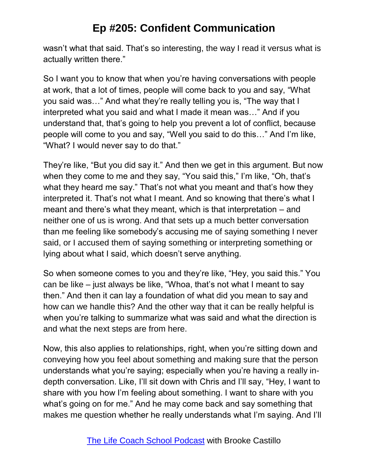wasn't what that said. That's so interesting, the way I read it versus what is actually written there."

So I want you to know that when you're having conversations with people at work, that a lot of times, people will come back to you and say, "What you said was…" And what they're really telling you is, "The way that I interpreted what you said and what I made it mean was…" And if you understand that, that's going to help you prevent a lot of conflict, because people will come to you and say, "Well you said to do this…" And I'm like, "What? I would never say to do that."

They're like, "But you did say it." And then we get in this argument. But now when they come to me and they say, "You said this," I'm like, "Oh, that's what they heard me say." That's not what you meant and that's how they interpreted it. That's not what I meant. And so knowing that there's what I meant and there's what they meant, which is that interpretation – and neither one of us is wrong. And that sets up a much better conversation than me feeling like somebody's accusing me of saying something I never said, or I accused them of saying something or interpreting something or lying about what I said, which doesn't serve anything.

So when someone comes to you and they're like, "Hey, you said this." You can be like – just always be like, "Whoa, that's not what I meant to say then." And then it can lay a foundation of what did you mean to say and how can we handle this? And the other way that it can be really helpful is when you're talking to summarize what was said and what the direction is and what the next steps are from here.

Now, this also applies to relationships, right, when you're sitting down and conveying how you feel about something and making sure that the person understands what you're saying; especially when you're having a really indepth conversation. Like, I'll sit down with Chris and I'll say, "Hey, I want to share with you how I'm feeling about something. I want to share with you what's going on for me." And he may come back and say something that makes me question whether he really understands what I'm saying. And I'll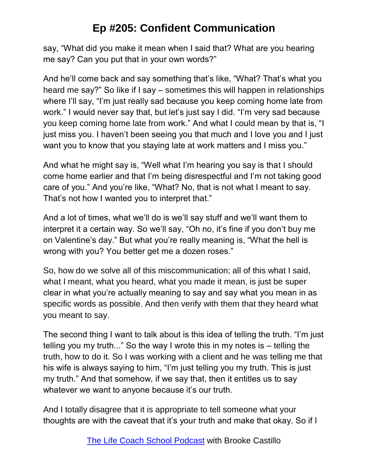say, "What did you make it mean when I said that? What are you hearing me say? Can you put that in your own words?"

And he'll come back and say something that's like, "What? That's what you heard me say?" So like if I say – sometimes this will happen in relationships where I'll say, "I'm just really sad because you keep coming home late from work." I would never say that, but let's just say I did. "I'm very sad because you keep coming home late from work." And what I could mean by that is, "I just miss you. I haven't been seeing you that much and I love you and I just want you to know that you staying late at work matters and I miss you."

And what he might say is, "Well what I'm hearing you say is that I should come home earlier and that I'm being disrespectful and I'm not taking good care of you." And you're like, "What? No, that is not what I meant to say. That's not how I wanted you to interpret that."

And a lot of times, what we'll do is we'll say stuff and we'll want them to interpret it a certain way. So we'll say, "Oh no, it's fine if you don't buy me on Valentine's day." But what you're really meaning is, "What the hell is wrong with you? You better get me a dozen roses."

So, how do we solve all of this miscommunication; all of this what I said, what I meant, what you heard, what you made it mean, is just be super clear in what you're actually meaning to say and say what you mean in as specific words as possible. And then verify with them that they heard what you meant to say.

The second thing I want to talk about is this idea of telling the truth. "I'm just telling you my truth..." So the way I wrote this in my notes is – telling the truth, how to do it. So I was working with a client and he was telling me that his wife is always saying to him, "I'm just telling you my truth. This is just my truth." And that somehow, if we say that, then it entitles us to say whatever we want to anyone because it's our truth.

And I totally disagree that it is appropriate to tell someone what your thoughts are with the caveat that it's your truth and make that okay. So if I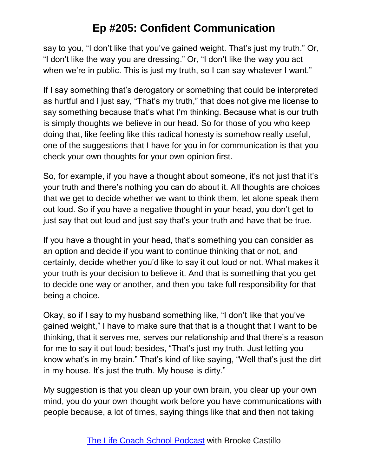say to you, "I don't like that you've gained weight. That's just my truth." Or, "I don't like the way you are dressing." Or, "I don't like the way you act when we're in public. This is just my truth, so I can say whatever I want."

If I say something that's derogatory or something that could be interpreted as hurtful and I just say, "That's my truth," that does not give me license to say something because that's what I'm thinking. Because what is our truth is simply thoughts we believe in our head. So for those of you who keep doing that, like feeling like this radical honesty is somehow really useful, one of the suggestions that I have for you in for communication is that you check your own thoughts for your own opinion first.

So, for example, if you have a thought about someone, it's not just that it's your truth and there's nothing you can do about it. All thoughts are choices that we get to decide whether we want to think them, let alone speak them out loud. So if you have a negative thought in your head, you don't get to just say that out loud and just say that's your truth and have that be true.

If you have a thought in your head, that's something you can consider as an option and decide if you want to continue thinking that or not, and certainly, decide whether you'd like to say it out loud or not. What makes it your truth is your decision to believe it. And that is something that you get to decide one way or another, and then you take full responsibility for that being a choice.

Okay, so if I say to my husband something like, "I don't like that you've gained weight," I have to make sure that that is a thought that I want to be thinking, that it serves me, serves our relationship and that there's a reason for me to say it out loud; besides, "That's just my truth. Just letting you know what's in my brain." That's kind of like saying, "Well that's just the dirt in my house. It's just the truth. My house is dirty."

My suggestion is that you clean up your own brain, you clear up your own mind, you do your own thought work before you have communications with people because, a lot of times, saying things like that and then not taking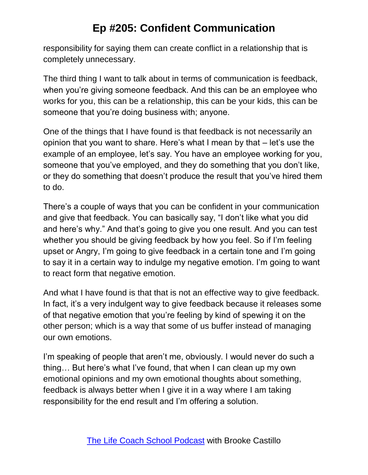responsibility for saying them can create conflict in a relationship that is completely unnecessary.

The third thing I want to talk about in terms of communication is feedback, when you're giving someone feedback. And this can be an employee who works for you, this can be a relationship, this can be your kids, this can be someone that you're doing business with; anyone.

One of the things that I have found is that feedback is not necessarily an opinion that you want to share. Here's what I mean by that – let's use the example of an employee, let's say. You have an employee working for you, someone that you've employed, and they do something that you don't like, or they do something that doesn't produce the result that you've hired them to do.

There's a couple of ways that you can be confident in your communication and give that feedback. You can basically say, "I don't like what you did and here's why." And that's going to give you one result. And you can test whether you should be giving feedback by how you feel. So if I'm feeling upset or Angry, I'm going to give feedback in a certain tone and I'm going to say it in a certain way to indulge my negative emotion. I'm going to want to react form that negative emotion.

And what I have found is that that is not an effective way to give feedback. In fact, it's a very indulgent way to give feedback because it releases some of that negative emotion that you're feeling by kind of spewing it on the other person; which is a way that some of us buffer instead of managing our own emotions.

I'm speaking of people that aren't me, obviously. I would never do such a thing… But here's what I've found, that when I can clean up my own emotional opinions and my own emotional thoughts about something, feedback is always better when I give it in a way where I am taking responsibility for the end result and I'm offering a solution.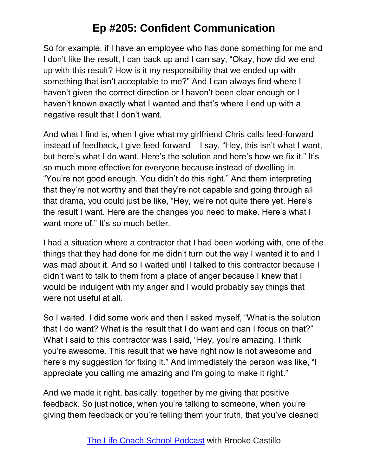So for example, if I have an employee who has done something for me and I don't like the result, I can back up and I can say, "Okay, how did we end up with this result? How is it my responsibility that we ended up with something that isn't acceptable to me?" And I can always find where I haven't given the correct direction or I haven't been clear enough or I haven't known exactly what I wanted and that's where I end up with a negative result that I don't want.

And what I find is, when I give what my girlfriend Chris calls feed-forward instead of feedback, I give feed-forward – I say, "Hey, this isn't what I want, but here's what I do want. Here's the solution and here's how we fix it." It's so much more effective for everyone because instead of dwelling in, "You're not good enough. You didn't do this right." And them interpreting that they're not worthy and that they're not capable and going through all that drama, you could just be like, "Hey, we're not quite there yet. Here's the result I want. Here are the changes you need to make. Here's what I want more of." It's so much better.

I had a situation where a contractor that I had been working with, one of the things that they had done for me didn't turn out the way I wanted it to and I was mad about it. And so I waited until I talked to this contractor because I didn't want to talk to them from a place of anger because I knew that I would be indulgent with my anger and I would probably say things that were not useful at all.

So I waited. I did some work and then I asked myself, "What is the solution that I do want? What is the result that I do want and can I focus on that?" What I said to this contractor was I said, "Hey, you're amazing. I think you're awesome. This result that we have right now is not awesome and here's my suggestion for fixing it." And immediately the person was like, "I appreciate you calling me amazing and I'm going to make it right."

And we made it right, basically, together by me giving that positive feedback. So just notice, when you're talking to someone, when you're giving them feedback or you're telling them your truth, that you've cleaned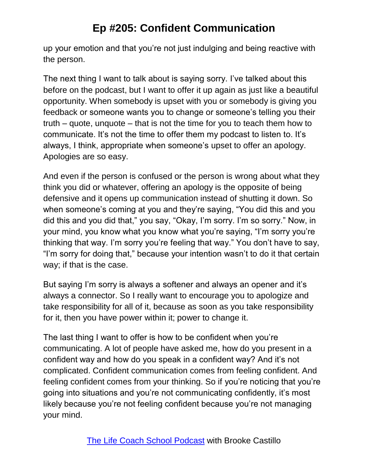up your emotion and that you're not just indulging and being reactive with the person.

The next thing I want to talk about is saying sorry. I've talked about this before on the podcast, but I want to offer it up again as just like a beautiful opportunity. When somebody is upset with you or somebody is giving you feedback or someone wants you to change or someone's telling you their truth – quote, unquote – that is not the time for you to teach them how to communicate. It's not the time to offer them my podcast to listen to. It's always, I think, appropriate when someone's upset to offer an apology. Apologies are so easy.

And even if the person is confused or the person is wrong about what they think you did or whatever, offering an apology is the opposite of being defensive and it opens up communication instead of shutting it down. So when someone's coming at you and they're saying, "You did this and you did this and you did that," you say, "Okay, I'm sorry. I'm so sorry." Now, in your mind, you know what you know what you're saying, "I'm sorry you're thinking that way. I'm sorry you're feeling that way." You don't have to say, "I'm sorry for doing that," because your intention wasn't to do it that certain way; if that is the case.

But saying I'm sorry is always a softener and always an opener and it's always a connector. So I really want to encourage you to apologize and take responsibility for all of it, because as soon as you take responsibility for it, then you have power within it; power to change it.

The last thing I want to offer is how to be confident when you're communicating. A lot of people have asked me, how do you present in a confident way and how do you speak in a confident way? And it's not complicated. Confident communication comes from feeling confident. And feeling confident comes from your thinking. So if you're noticing that you're going into situations and you're not communicating confidently, it's most likely because you're not feeling confident because you're not managing your mind.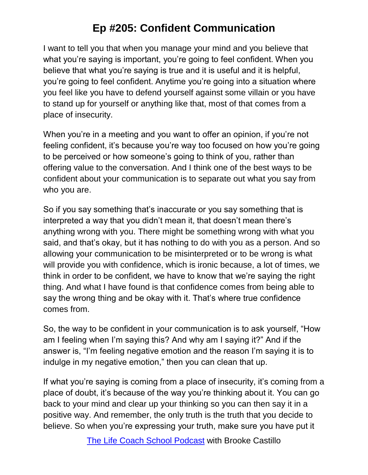I want to tell you that when you manage your mind and you believe that what you're saying is important, you're going to feel confident. When you believe that what you're saying is true and it is useful and it is helpful, you're going to feel confident. Anytime you're going into a situation where you feel like you have to defend yourself against some villain or you have to stand up for yourself or anything like that, most of that comes from a place of insecurity.

When you're in a meeting and you want to offer an opinion, if you're not feeling confident, it's because you're way too focused on how you're going to be perceived or how someone's going to think of you, rather than offering value to the conversation. And I think one of the best ways to be confident about your communication is to separate out what you say from who you are.

So if you say something that's inaccurate or you say something that is interpreted a way that you didn't mean it, that doesn't mean there's anything wrong with you. There might be something wrong with what you said, and that's okay, but it has nothing to do with you as a person. And so allowing your communication to be misinterpreted or to be wrong is what will provide you with confidence, which is ironic because, a lot of times, we think in order to be confident, we have to know that we're saying the right thing. And what I have found is that confidence comes from being able to say the wrong thing and be okay with it. That's where true confidence comes from.

So, the way to be confident in your communication is to ask yourself, "How am I feeling when I'm saying this? And why am I saying it?" And if the answer is, "I'm feeling negative emotion and the reason I'm saying it is to indulge in my negative emotion," then you can clean that up.

If what you're saying is coming from a place of insecurity, it's coming from a place of doubt, it's because of the way you're thinking about it. You can go back to your mind and clear up your thinking so you can then say it in a positive way. And remember, the only truth is the truth that you decide to believe. So when you're expressing your truth, make sure you have put it